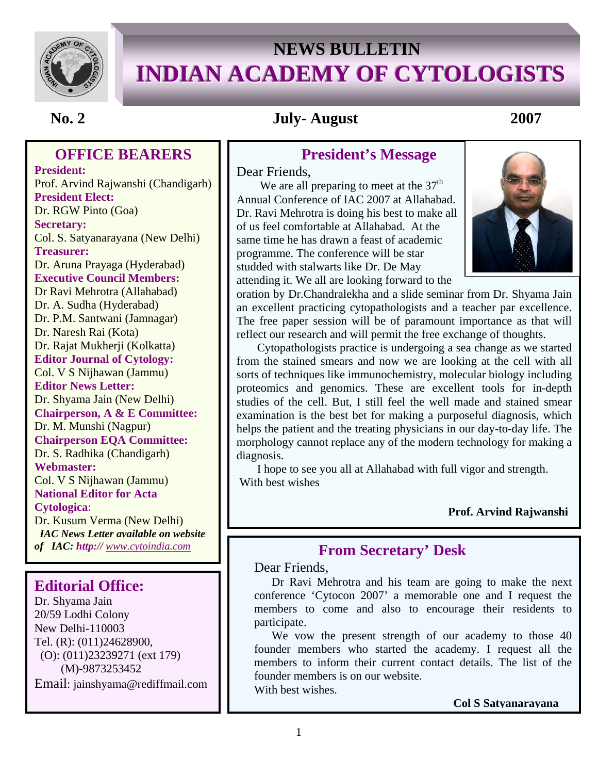

# **NEWS BULLETIN INDIAN ACADEMY OF CYTOLOGISTS**

## **No. 2 July- August 2007**

## **OFFICE BEARERS**

 **Chairperson EQA Committee: President:** Prof. Arvind Rajwanshi (Chandigarh) **President Elect:**  Dr. RGW Pinto (Goa) **Secretary:**  Col. S. Satyanarayana (New Delhi) **Treasurer:**  Dr. Aruna Prayaga (Hyderabad) **Executive Council Members:**  Dr Ravi Mehrotra (Allahabad) Dr. A. Sudha (Hyderabad) Dr. P.M. Santwani (Jamnagar) Dr. Naresh Rai (Kota) Dr. Rajat Mukherji (Kolkatta) **Editor Journal of Cytology:**  Col. V S Nijhawan (Jammu) **Editor News Letter:**  Dr. Shyama Jain (New Delhi) **Chairperson, A & E Committee:**  Dr. M. Munshi (Nagpur) Dr. S. Radhika (Chandigarh) **Webmaster:**  Col. V S Nijhawan (Jammu) **National Editor for Acta Cytologica**: Dr. Kusum Verma (New Delhi) *IAC News Letter available on website of IAC: http:// www.cytoindia.com*

## **Editorial Office:**

Dr. Shyama Jain 20/59 Lodhi Colony New Delhi-110003 Tel. (R): (011)24628900, (O): (011)23239271 (ext 179) (M)-9873253452 Email: jainshyama@rediffmail.com

## **President's Message**

Dear Friends,<br>We are all preparing to meet at the 37<sup>th</sup> Annual Conference of IAC 2007 at Allahabad. Dr. Ravi Mehrotra is doing his best to make all of us feel comfortable at Allahabad. At the same time he has drawn a feast of academic programme. The conference will be star studded with stalwarts like Dr. De May attending it. We all are looking forward to the



oration by Dr.Chandralekha and a slide seminar from Dr. Shyama Jain an excellent practicing cytopathologists and a teacher par excellence. The free paper session will be of paramount importance as that will reflect our research and will permit the free exchange of thoughts.

 Cytopathologists practice is undergoing a sea change as we started from the stained smears and now we are looking at the cell with all sorts of techniques like immunochemistry, molecular biology including proteomics and genomics. These are excellent tools for in-depth studies of the cell. But, I still feel the well made and stained smear examination is the best bet for making a purposeful diagnosis, which helps the patient and the treating physicians in our day-to-day life. The morphology cannot replace any of the modern technology for making a diagnosis.

 I hope to see you all at Allahabad with full vigor and strength. With best wishes

#### **Prof. Arvind Rajwanshi**

## **From Secretary' Desk**

Dear Friends,

Dr Ravi Mehrotra and his team are going to make the next conference 'Cytocon 2007' a memorable one and I request the members to come and also to encourage their residents to participate.

We vow the present strength of our academy to those 40 founder members who started the academy. I request all the members to inform their current contact details. The list of the founder members is on our website. With best wishes.

**Col S Satyanarayana**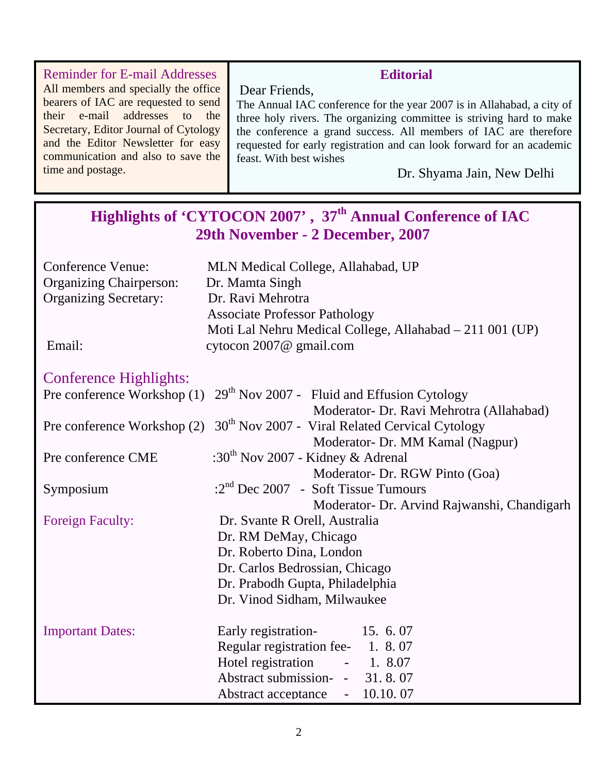| <b>Reminder for E-mail Addresses</b>  | <b>Editorial</b>                                                       |
|---------------------------------------|------------------------------------------------------------------------|
| All members and specially the office  | Dear Friends,                                                          |
| bearers of IAC are requested to send  | The Annual IAC conference for the year 2007 is in Allahabad, a city of |
| their e-mail addresses to the         | three holy rivers. The organizing committee is striving hard to make   |
| Secretary, Editor Journal of Cytology | the conference a grand success. All members of IAC are therefore       |
| and the Editor Newsletter for easy    | requested for early registration and can look forward for an academic  |
| communication and also to save the    | feast. With best wishes                                                |
| time and postage.                     | Dr. Shyama Jain, New Delhi                                             |
|                                       |                                                                        |

|                                | Highlights of 'CYTOCON 2007', 37 <sup>th</sup> Annual Conference of IAC<br>29th November - 2 December, 2007 |  |  |  |
|--------------------------------|-------------------------------------------------------------------------------------------------------------|--|--|--|
| <b>Conference Venue:</b>       | MLN Medical College, Allahabad, UP                                                                          |  |  |  |
| <b>Organizing Chairperson:</b> | Dr. Mamta Singh                                                                                             |  |  |  |
| <b>Organizing Secretary:</b>   | Dr. Ravi Mehrotra                                                                                           |  |  |  |
|                                | <b>Associate Professor Pathology</b>                                                                        |  |  |  |
|                                | Moti Lal Nehru Medical College, Allahabad – 211 001 (UP)                                                    |  |  |  |
| Email:                         | cytocon 2007@ gmail.com                                                                                     |  |  |  |
| <b>Conference Highlights:</b>  |                                                                                                             |  |  |  |
| Pre conference Workshop (1)    | $29th$ Nov 2007 - Fluid and Effusion Cytology                                                               |  |  |  |
|                                | Moderator- Dr. Ravi Mehrotra (Allahabad)                                                                    |  |  |  |
| Pre conference Workshop (2)    | 30 <sup>th</sup> Nov 2007 - Viral Related Cervical Cytology                                                 |  |  |  |
|                                | Moderator- Dr. MM Kamal (Nagpur)                                                                            |  |  |  |
| Pre conference CME             | :30 <sup>th</sup> Nov 2007 - Kidney & Adrenal                                                               |  |  |  |
|                                | Moderator- Dr. RGW Pinto (Goa)                                                                              |  |  |  |
| Symposium                      | $: 2nd$ Dec 2007 - Soft Tissue Tumours                                                                      |  |  |  |
|                                | Moderator- Dr. Arvind Rajwanshi, Chandigarh                                                                 |  |  |  |
| <b>Foreign Faculty:</b>        | Dr. Svante R Orell, Australia                                                                               |  |  |  |
|                                | Dr. RM DeMay, Chicago                                                                                       |  |  |  |
|                                | Dr. Roberto Dina, London                                                                                    |  |  |  |
|                                | Dr. Carlos Bedrossian, Chicago                                                                              |  |  |  |
|                                | Dr. Prabodh Gupta, Philadelphia                                                                             |  |  |  |
|                                | Dr. Vinod Sidham, Milwaukee                                                                                 |  |  |  |
| <b>Important Dates:</b>        | Early registration-<br>15. 6. 07                                                                            |  |  |  |
|                                | Regular registration fee- 1. 8.07                                                                           |  |  |  |
|                                | Hotel registration<br>$-1.8.07$                                                                             |  |  |  |
|                                | Abstract submission- - 31.8.07                                                                              |  |  |  |
|                                | Abstract acceptance - 10.10.07                                                                              |  |  |  |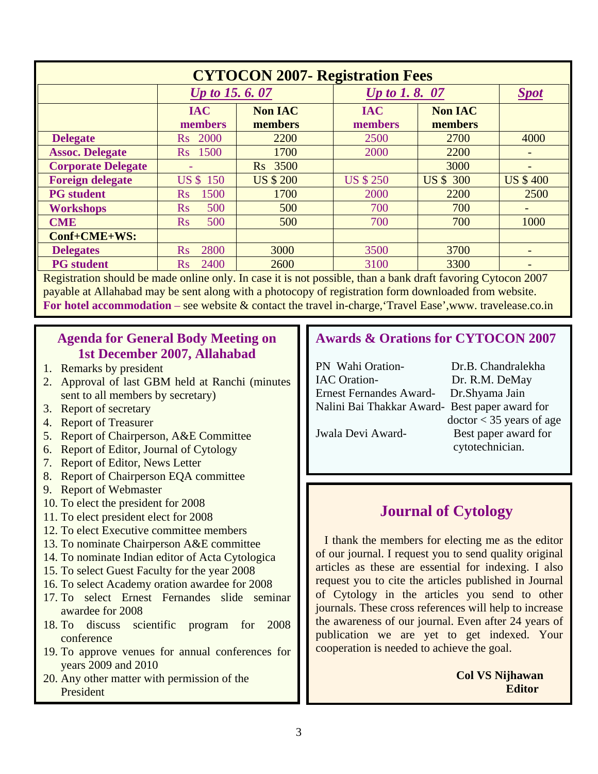| <b>CYTOCON 2007- Registration Fees</b> |                       |                           |                       |                           |                          |  |
|----------------------------------------|-----------------------|---------------------------|-----------------------|---------------------------|--------------------------|--|
|                                        | <i>Up to 15.6.07</i>  |                           | <i>Up to 1.8.07</i>   |                           | <b>Spot</b>              |  |
|                                        | <b>IAC</b><br>members | <b>Non IAC</b><br>members | <b>IAC</b><br>members | <b>Non IAC</b><br>members |                          |  |
| <b>Delegate</b>                        | Rs 2000               | 2200                      | 2500                  | 2700                      | 4000                     |  |
| <b>Assoc. Delegate</b>                 | Rs 1500               | 1700                      | 2000                  | 2200                      |                          |  |
| <b>Corporate Delegate</b>              |                       | Rs 3500                   |                       | 3000                      |                          |  |
| <b>Foreign delegate</b>                | <b>US \$ 150</b>      | <b>US \$ 200</b>          | <b>US \$ 250</b>      | <b>US \$ 300</b>          | <b>US \$400</b>          |  |
| <b>PG</b> student                      | 1500<br>$\rm Rs$      | 1700                      | 2000                  | 2200                      | 2500                     |  |
| <b>Workshops</b>                       | 500<br>$\rm Rs$       | 500                       | 700                   | 700                       | $\overline{\phantom{0}}$ |  |
| <b>CME</b>                             | 500<br>$\rm Rs$       | 500                       | 700                   | 700                       | 1000                     |  |
| Conf+CME+WS:                           |                       |                           |                       |                           |                          |  |
| <b>Delegates</b>                       | 2800<br>$\rm Rs$      | 3000                      | 3500                  | 3700                      |                          |  |
| <b>PG</b> student                      | 2400<br>$\rm Rs$      | 2600                      | 3100                  | 3300                      |                          |  |

Registration should be made online only. In case it is not possible, than a bank draft favoring Cytocon 2007 payable at Allahabad may be sent along with a photocopy of registration form downloaded from website. **For hotel accommodation** – see website & contact the travel in-charge,'Travel Ease',www. travelease.co.in

#### **Agenda for General Body Meeting on 1st December 2007, Allahabad**

- 1. Remarks by president
- 2. Approval of last GBM held at Ranchi (minutes sent to all members by secretary)
- 3. Report of secretary
- 4. Report of Treasurer
- 5. Report of Chairperson, A&E Committee
- 6. Report of Editor, Journal of Cytology
- 7. Report of Editor, News Letter
- 8. Report of Chairperson EQA committee
- 9. Report of Webmaster
- 10. To elect the president for 2008
- 11. To elect president elect for 2008
- 12. To elect Executive committee members
- 13. To nominate Chairperson A&E committee
- 14. To nominate Indian editor of Acta Cytologica
- 15. To select Guest Faculty for the year 2008
- 16. To select Academy oration awardee for 2008
- 17. To select Ernest Fernandes slide seminar awardee for 2008
- 18. To discuss scientific program for 2008 conference
- 19. To approve venues for annual conferences for years 2009 and 2010
- 20. Any other matter with permission of the President

#### **Awards & Orations for CYTOCON 2007**

| PN Wahi Oration-                               | Dr.B. Chandralekha         |
|------------------------------------------------|----------------------------|
| <b>IAC</b> Oration-                            | Dr. R.M. DeMay             |
| Ernest Fernandes Award- Dr. Shyama Jain        |                            |
| Nalini Bai Thakkar Award- Best paper award for |                            |
|                                                | $doctor < 35$ years of age |
| Jwala Devi Award-                              | Best paper award for       |
|                                                | cytotechnician.            |

### **Journal of Cytology**

 I thank the members for electing me as the editor of our journal. I request you to send quality original articles as these are essential for indexing. I also request you to cite the articles published in Journal of Cytology in the articles you send to other journals. These cross references will help to increase the awareness of our journal. Even after 24 years of publication we are yet to get indexed. Your cooperation is needed to achieve the goal.

> **Col VS Nijhawan Editor**